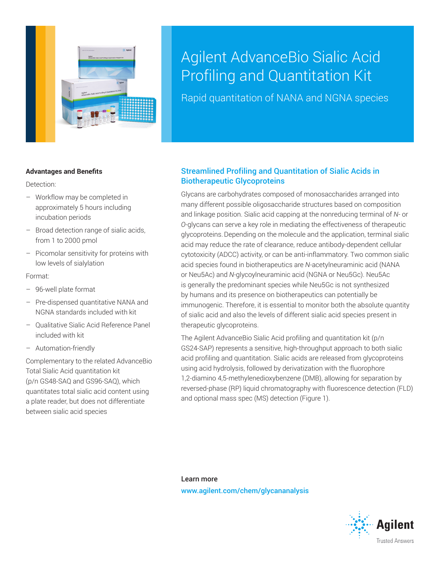

# Agilent AdvanceBio Sialic Acid Profiling and Quantitation Kit

Rapid quantitation of NANA and NGNA species

### **Advantages and Benefits**

Detection:

- Workflow may be completed in approximately 5 hours including incubation periods
- Broad detection range of sialic acids, from 1 to 2000 pmol
- Picomolar sensitivity for proteins with low levels of sialylation

### Format:

- 96-well plate format
- Pre-dispensed quantitative NANA and NGNA standards included with kit
- Qualitative Sialic Acid Reference Panel included with kit
- Automation-friendly

Complementary to the related AdvanceBio Total Sialic Acid quantitation kit (p/n GS48-SAQ and GS96-SAQ), which quantitates total sialic acid content using a plate reader, but does not differentiate between sialic acid species

# Streamlined Profiling and Quantitation of Sialic Acids in Biotherapeutic Glycoproteins

Glycans are carbohydrates composed of monosaccharides arranged into many different possible oligosaccharide structures based on composition and linkage position. Sialic acid capping at the nonreducing terminal of *N*- or *O*-glycans can serve a key role in mediating the effectiveness of therapeutic glycoproteins.Depending on the molecule and the application, terminal sialic acid may reduce the rate of clearance, reduce antibody-dependent cellular cytotoxicity (ADCC) activity, or can be anti-inflammatory. Two common sialic acid species found in biotherapeutics are *N*-acetylneuraminic acid (NANA or Neu5Ac) and *N*-glycoylneuraminic acid (NGNA or Neu5Gc). Neu5Ac is generally the predominant species while Neu5Gc is not synthesized by humans and its presence on biotherapeutics can potentially be immunogenic. Therefore, it is essential to monitor both the absolute quantity of sialic acid and also the levels of different sialic acid species present in therapeutic glycoproteins.

The Agilent AdvanceBio Sialic Acid profiling and quantitation kit (p/n GS24-SAP) represents a sensitive, high-throughput approach to both sialic acid profiling and quantitation. Sialic acids are released from glycoproteins using acid hydrolysis, followed by derivatization with the fluorophore 1,2-diamino 4,5-methylenedioxybenzene (DMB), allowing for separation by reversed-phase (RP) liquid chromatography with fluorescence detection (FLD) and optional mass spec (MS) detection (Figure 1).

Learn more www.agilent.com/chem/glycananalysis

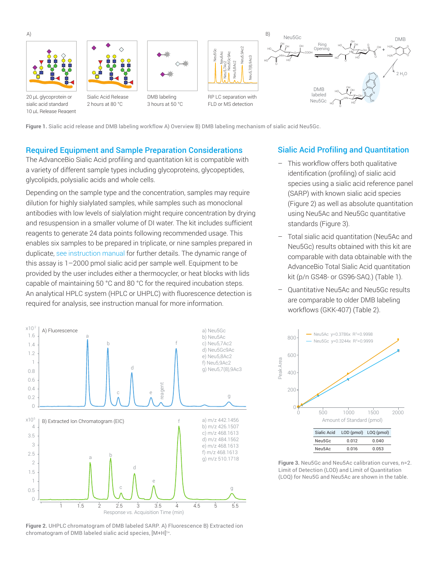

**Figure 1.** Sialic acid release and DMB labeling workflow A) Overview B) DMB labeling mechanism of sialic acid Neu5Gc.

### Required Equipment and Sample Preparation Considerations

The AdvanceBio Sialic Acid profiling and quantitation kit is compatible with a variety of different sample types including glycoproteins, glycopeptides, glycolipids, polysialic acids and whole cells.

Depending on the sample type and the concentration, samples may require dilution for highly sialylated samples, while samples such as monoclonal antibodies with low levels of sialylation might require concentration by drying and resuspension in a smaller volume of DI water. The kit includes sufficient reagents to generate 24 data points following recommended usage. This enables six samples to be prepared in triplicate, or nine samples prepared in duplicate, [see instruction manual](https://www.agilent.com/cs/library/usermanuals/public/5994-2800EN.pdf) for further details. The dynamic range of this assay is 1–2000 pmol sialic acid per sample well. Equipment to be provided by the user includes either a thermocycler, or heat blocks with lids capable of maintaining 50 °C and 80 °C for the required incubation steps. An analytical HPLC system (HPLC or UHPLC) with fluorescence detection is required for analysis, see instruction manual for more information.



**Figure 2.** UHPLC chromatogram of DMB labeled SARP. A) Fluorescence B) Extracted ion chromatogram of DMB labeled sialic acid species, [M+H]<sup>1+</sup>.

## Sialic Acid Profiling and Quantitation

- This workflow offers both qualitative identification (profiling) of sialic acid species using a sialic acid reference panel (SARP) with known sialic acid species (Figure 2) as well as absolute quantitation using Neu5Ac and Neu5Gc quantitative standards (Figure 3).
- Total sialic acid quantitation (Neu5Ac and Neu5Gc) results obtained with this kit are comparable with data obtainable with the AdvanceBio Total Sialic Acid quantitation kit (p/n GS48- or GS96-SAQ.) (Table 1).
- Quantitative Neu5Ac and Neu5Gc results are comparable to older DMB labeling workflows (GKK-407) (Table 2).



**Figure 3.** Neu5Gc and Neu5Ac calibration curves, n=2. Limit of Detection (LOD) and Limit of Quantitation (LOQ) for Neu5G and Neu5Ac are shown in the table.